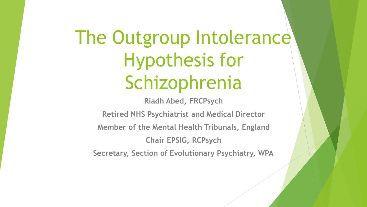# The Outgroup Intolerance Hypothesis for Schizophrenia

**Riadh Abed, FRCPsych**

**Retired NHS Psychiatrist and Medical Director Member of the Mental Health Tribunals, England**

**Chair EPSIG, RCPsych**

**Secretary, Section of Evolutionary Psychiatry, WPA**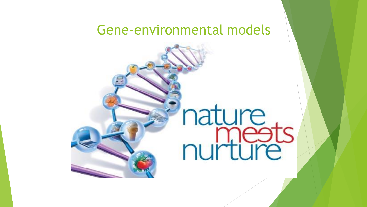### Gene-environmental models

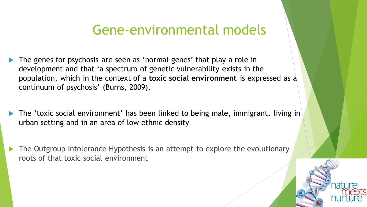### Gene-environmental models

- The genes for psychosis are seen as 'normal genes' that play a role in development and that 'a spectrum of genetic vulnerability exists in the population, which in the context of a **toxic social environment** is expressed as a continuum of psychosis' (Burns, 2009).
- The 'toxic social environment' has been linked to being male, immigrant, living in urban setting and in an area of low ethnic density
- The Outgroup Intolerance Hypothesis is an attempt to explore the evolutionary roots of that toxic social environment

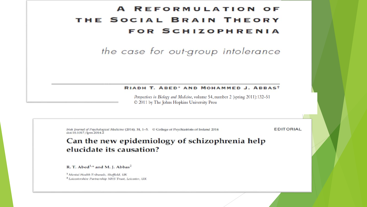#### **REFORMULATION** THE SOCIAL BRAIN THEORY **FOR SCHIZOPHRENIA**

the case for out-group intolerance

#### RIADH T. ABED<sup>\*</sup> AND MOHAMMED J. ABBAS<sup>t</sup>

Perspectives in Biology and Medicine, volume 54, number 2 (spring 2011):132-51 © 2011 by The Johns Hopkins University Press

**EDITORIAL** Irish Journal of Psychological Medicine (2014), 31, 1-5. © College of Psychiatrists of Ireland 2014 doi:10.1017/ipm 2014.2 Can the new epidemiology of schizophrenia help elucidate its causation? R. T. Abed<sup>1,\*</sup> and M. J. Abbas<sup>2</sup> <sup>1</sup> Mental Health Tribunals, Sheffield, UK <sup>2</sup> Leicestershire Partnership NHS Trust, Leicester, UK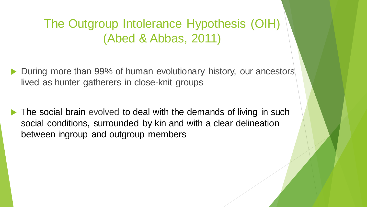### The Outgroup Intolerance Hypothesis (OIH) (Abed & Abbas, 2011)

- ▶ During more than 99% of human evolutionary history, our ancestors lived as hunter gatherers in close-knit groups
- The social brain evolved to deal with the demands of living in such social conditions, surrounded by kin and with a clear delineation between ingroup and outgroup members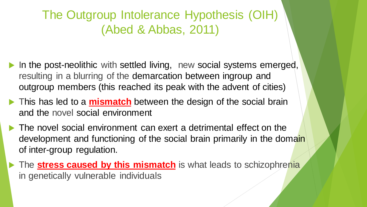The Outgroup Intolerance Hypothesis (OIH) (Abed & Abbas, 2011)

- In the post-neolithic with settled living, new social systems emerged, resulting in a blurring of the demarcation between ingroup and outgroup members (this reached its peak with the advent of cities)
- This has led to a **mismatch** between the design of the social brain and the novel social environment
- The novel social environment can exert a detrimental effect on the development and functioning of the social brain primarily in the domain of inter-group regulation.
- **The stress caused by this mismatch** is what leads to schizophrenia in genetically vulnerable individuals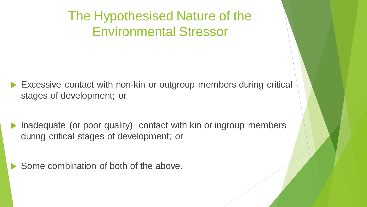The Hypothesised Nature of the Environmental Stressor

- Excessive contact with non-kin or outgroup members during critical stages of development; or
- Inadequate (or poor quality) contact with kin or ingroup members during critical stages of development; or

Some combination of both of the above.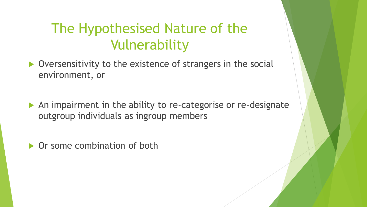### The Hypothesised Nature of the Vulnerability

- ▶ Oversensitivity to the existence of strangers in the social environment, or
- An impairment in the ability to re-categorise or re-designate outgroup individuals as ingroup members
- ▶ Or some combination of both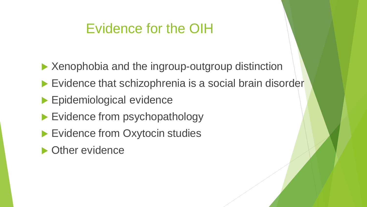### Evidence for the OIH

- ▶ Xenophobia and the ingroup-outgroup distinction
- Evidence that schizophrenia is a social brain disorder
- **Epidemiological evidence**
- Evidence from psychopathology
- Evidence from Oxytocin studies
- ▶ Other evidence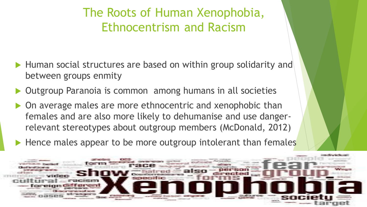### The Roots of Human Xenophobia, Ethnocentrism and Racism

- ▶ Human social structures are based on within group solidarity and between groups enmity
- Outgroup Paranoia is common among humans in all societies
- ▶ On average males are more ethnocentric and xenophobic than females and are also more likely to dehumanise and use dangerrelevant stereotypes about outgroup members (McDonald, 2012)
- $\blacktriangleright$  Hence males appear to be more outgroup intolerant than females

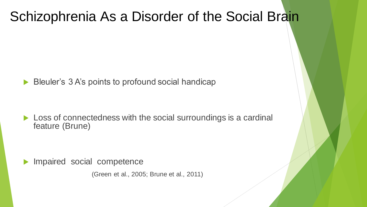### Schizophrenia As a Disorder of the Social Brain

Bleuler's 3 A's points to profound social handicap

▶ Loss of connectedness with the social surroundings is a cardinal feature (Brune)

Impaired social competence

(Green et al., 2005; Brune et al., 2011)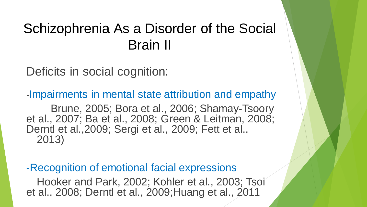### Schizophrenia As a Disorder of the Social Brain II

Deficits in social cognition:

-Impairments in mental state attribution and empathy Brune, 2005; Bora et al., 2006; Shamay-Tsoory et al., 2007; Ba et al., 2008; Green & Leitman, 2008; Derntl et al.,2009; Sergi et al., 2009; Fett et al., 2013)

-Recognition of emotional facial expressions Hooker and Park, 2002; Kohler et al., 2003; Tsoi et al., 2008; Derntl et al., 2009;Huang et al., 2011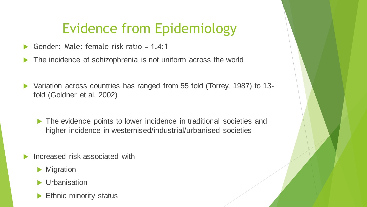### Evidence from Epidemiology

- Gender: Male: female risk ratio = 1.4:1
- The incidence of schizophrenia is not uniform across the world
- Variation across countries has ranged from 55 fold (Torrey, 1987) to 13 fold (Goldner et al, 2002)
	- The evidence points to lower incidence in traditional societies and higher incidence in westernised/industrial/urbanised societies
- Increased risk associated with
	- **Migration**
	- **Urbanisation**
	- Ethnic minority status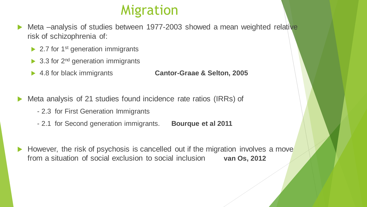### Migration

- Meta –analysis of studies between 1977-2003 showed a mean weighted relative risk of schizophrenia of:
	- $\triangleright$  2.7 for 1<sup>st</sup> generation immigrants
	- $\triangleright$  3.3 for 2<sup>nd</sup> generation immigrants
	-

4.8 for black immigrants **Cantor-Graae & Selton, 2005**

- Meta analysis of 21 studies found incidence rate ratios (IRRs) of
	- 2.3 for First Generation Immigrants
	- 2.1 for Second generation immigrants. **Bourque et al 2011**
- However, the risk of psychosis is cancelled out if the migration involves a move from a situation of social exclusion to social inclusion **van Os, 2012**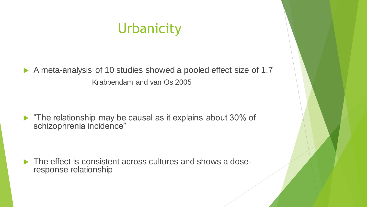### **Urbanicity**

A meta-analysis of 10 studies showed a pooled effect size of 1.7 Krabbendam and van Os 2005

The relationship may be causal as it explains about 30% of schizophrenia incidence"

 The effect is consistent across cultures and shows a doseresponse relationship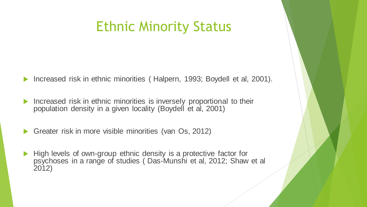### Ethnic Minority Status

Increased risk in ethnic minorities (Halpern, 1993; Boydell et al, 2001).

- Increased risk in ethnic minorities is inversely proportional to their population density in a given locality (Boydell et al, 2001)
- Greater risk in more visible minorities (van Os, 2012)
- High levels of own-group ethnic density is a protective factor for psychoses in a range of studies ( Das-Munshi et al, 2012; Shaw et al 2012)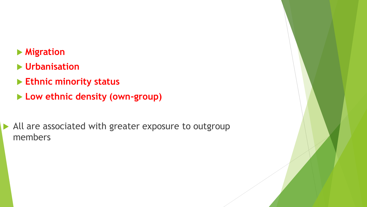### **Migration**

- **Urbanisation**
- **Ethnic minority status**
- **Low ethnic density (own-group)**

All are associated with greater exposure to outgroup members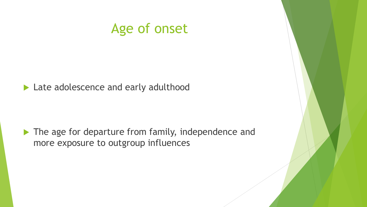### Age of onset

Late adolescence and early adulthood

The age for departure from family, independence and more exposure to outgroup influences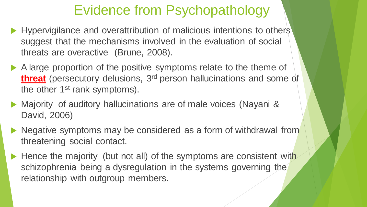### Evidence from Psychopathology

- Hypervigilance and overattribution of malicious intentions to others' suggest that the mechanisms involved in the evaluation of social threats are overactive (Brune, 2008).
- A large proportion of the positive symptoms relate to the theme of **threat** (persecutory delusions, 3<sup>rd</sup> person hallucinations and some of the other 1<sup>st</sup> rank symptoms).
- ▶ Majority of auditory hallucinations are of male voices (Nayani & David, 2006)
- lacktriangleright Megative symptoms may be considered as a form of withdrawal from threatening social contact.
- $\blacktriangleright$  Hence the majority (but not all) of the symptoms are consistent with schizophrenia being a dysregulation in the systems governing the relationship with outgroup members.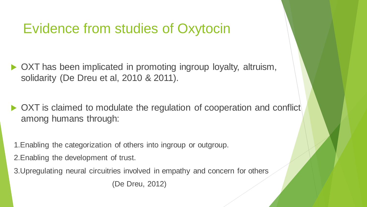### Evidence from studies of Oxytocin

- ▶ OXT has been implicated in promoting ingroup loyalty, altruism, solidarity (De Dreu et al, 2010 & 2011).
- ▶ OXT is claimed to modulate the regulation of cooperation and conflict among humans through:
- 1.Enabling the categorization of others into ingroup or outgroup.
- 2.Enabling the development of trust.
- 3.Upregulating neural circuitries involved in empathy and concern for others

(De Dreu, 2012)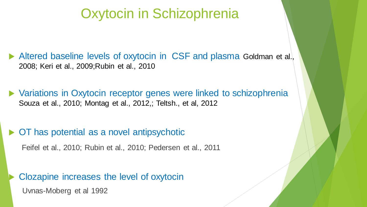### Oxytocin in Schizophrenia

 Altered baseline levels of oxytocin in CSF and plasma Goldman et al., 2008; Keri et al., 2009;Rubin et al., 2010

 Variations in Oxytocin receptor genes were linked to schizophrenia Souza et al., 2010; Montag et al., 2012,; Teltsh., et al, 2012

OT has potential as a novel antipsychotic

Feifel et al., 2010; Rubin et al., 2010; Pedersen et al., 2011

 Clozapine increases the level of oxytocin Uvnas-Moberg et al 1992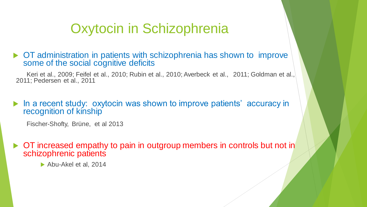### Oxytocin in Schizophrenia

▶ OT administration in patients with schizophrenia has shown to improve some of the social cognitive deficits

Keri et al., 2009; Feifel et al., 2010; Rubin et al., 2010; Averbeck et al., 2011; Goldman et al., 2011; Pedersen et al., 2011

 In a recent study: oxytocin was shown to improve patients' accuracy in recognition of kinship

Fischer-Shofty, Brüne, et al 2013

 $\triangleright$  OT increased empathy to pain in outgroup members in controls but not in schizophrenic patients

▶ Abu-Akel et al, 2014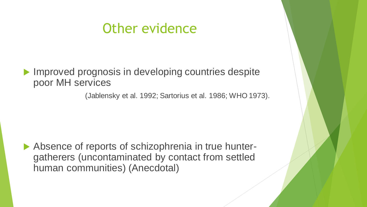### Other evidence

**Improved prognosis in developing countries despite** poor MH services

(Jablensky et al. 1992; Sartorius et al. 1986; WHO 1973).

Absence of reports of schizophrenia in true huntergatherers (uncontaminated by contact from settled human communities) (Anecdotal)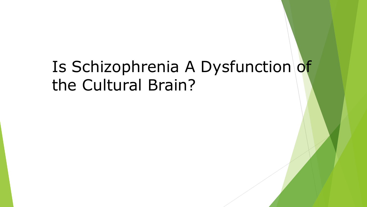## Is Schizophrenia A Dysfunction of the Cultural Brain?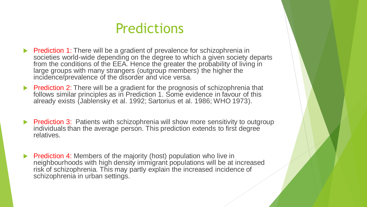### Predictions

- Prediction 1: There will be a gradient of prevalence for schizophrenia in societies world-wide depending on the degree to which a given society departs from the conditions of the EEA. Hence the greater the probability of living in large groups with many strangers (outgroup members) the higher the incidence/prevalence of the disorder and vice versa.
- Prediction 2: There will be a gradient for the prognosis of schizophrenia that follows similar principles as in Prediction 1. Some evidence in favour of this already exists (Jablensky et al. 1992; Sartorius et al. 1986; WHO 1973).
- **Prediction 3:** Patients with schizophrenia will show more sensitivity to outgroup individuals than the average person. This prediction extends to first degree relatives.
- Prediction 4: Members of the majority (host) population who live in neighbourhoods with high density immigrant populations will be at increased risk of schizophrenia. This may partly explain the increased incidence of schizophrenia in urban settings.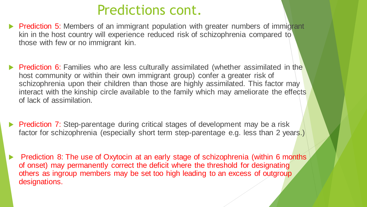### Predictions cont.

- **Prediction 5:** Members of an immigrant population with greater numbers of immigrant kin in the host country will experience reduced risk of schizophrenia compared to those with few or no immigrant kin.
- **Prediction 6:** Families who are less culturally assimilated (whether assimilated in the host community or within their own immigrant group) confer a greater risk of schizophrenia upon their children than those are highly assimilated. This factor may interact with the kinship circle available to the family which may ameliorate the effects of lack of assimilation.
- **Prediction 7:** Step-parentage during critical stages of development may be a risk factor for schizophrenia (especially short term step-parentage e.g. less than 2 years.)
- Prediction 8: The use of Oxytocin at an early stage of schizophrenia (within 6 months of onset) may permanently correct the deficit where the threshold for designating others as ingroup members may be set too high leading to an excess of outgroup designations.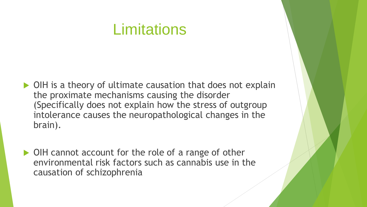### **Limitations**

- ▶ OIH is a theory of ultimate causation that does not explain the proximate mechanisms causing the disorder (Specifically does not explain how the stress of outgroup intolerance causes the neuropathological changes in the brain).
- ▶ OIH cannot account for the role of a range of other environmental risk factors such as cannabis use in the causation of schizophrenia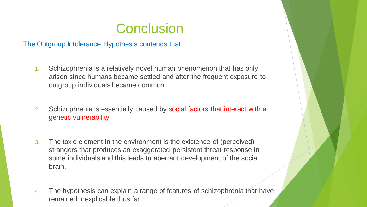### **Conclusion**

The Outgroup Intolerance Hypothesis contends that:

- 1. Schizophrenia is a relatively novel human phenomenon that has only arisen since humans became settled and after the frequent exposure to outgroup individuals became common.
- 2. Schizophrenia is essentially caused by social factors that interact with a genetic vulnerability
- 3. The toxic element in the environment is the existence of (perceived) strangers that produces an exaggerated persistent threat response in some individuals and this leads to aberrant development of the social brain.
- 4. The hypothesis can explain a range of features of schizophrenia that have remained inexplicable thus far .